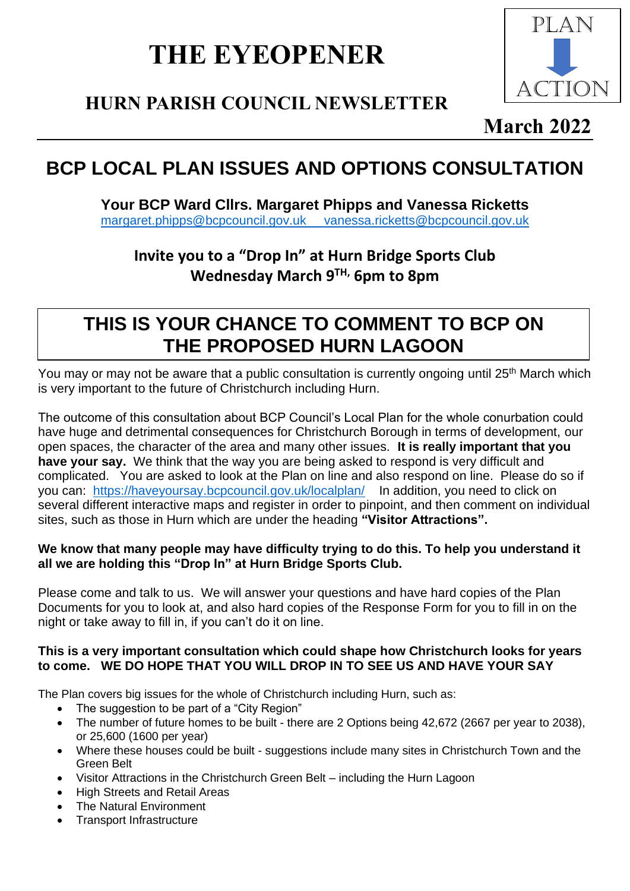# **THE EYEOPENER**

# **HURN PARISH COUNCIL NEWSLETTER**



### **March 2022**

# **BCP LOCAL PLAN ISSUES AND OPTIONS CONSULTATION**

**Your BCP Ward Cllrs. Margaret Phipps and Vanessa Ricketts** [margaret.phipps@bcpcouncil.gov.uk](mailto:margaret.phipps@bcpcouncil.gov.uk) [vanessa.ricketts@bcpcouncil.gov.uk](mailto:vanessa.ricketts@bcpcouncil.gov.uk)

### **Invite you to a "Drop In" at Hurn Bridge Sports Club Wednesday March 9 TH, 6pm to 8pm**

### **THIS IS YOUR CHANCE TO COMMENT TO BCP ON THE PROPOSED HURN LAGOON**

You may or may not be aware that a public consultation is currently ongoing until 25<sup>th</sup> March which is very important to the future of Christchurch including Hurn.

The outcome of this consultation about BCP Council's Local Plan for the whole conurbation could have huge and detrimental consequences for Christchurch Borough in terms of development, our open spaces, the character of the area and many other issues. **It is really important that you have your say.** We think that the way you are being asked to respond is very difficult and complicated. You are asked to look at the Plan on line and also respond on line. Please do so if you can: <https://haveyoursay.bcpcouncil.gov.uk/localplan/>In addition, you need to click on several different interactive maps and register in order to pinpoint, and then comment on individual sites, such as those in Hurn which are under the heading **"Visitor Attractions".**

#### **We know that many people may have difficulty trying to do this. To help you understand it all we are holding this "Drop In" at Hurn Bridge Sports Club.**

Please come and talk to us. We will answer your questions and have hard copies of the Plan Documents for you to look at, and also hard copies of the Response Form for you to fill in on the night or take away to fill in, if you can't do it on line.

#### **This is a very important consultation which could shape how Christchurch looks for years to come. WE DO HOPE THAT YOU WILL DROP IN TO SEE US AND HAVE YOUR SAY**

The Plan covers big issues for the whole of Christchurch including Hurn, such as:

- The suggestion to be part of a "City Region"
- The number of future homes to be built there are 2 Options being 42,672 (2667 per year to 2038), or 25,600 (1600 per year)
- Where these houses could be built suggestions include many sites in Christchurch Town and the Green Belt
- Visitor Attractions in the Christchurch Green Belt including the Hurn Lagoon
- High Streets and Retail Areas
- The Natural Environment
- Transport Infrastructure